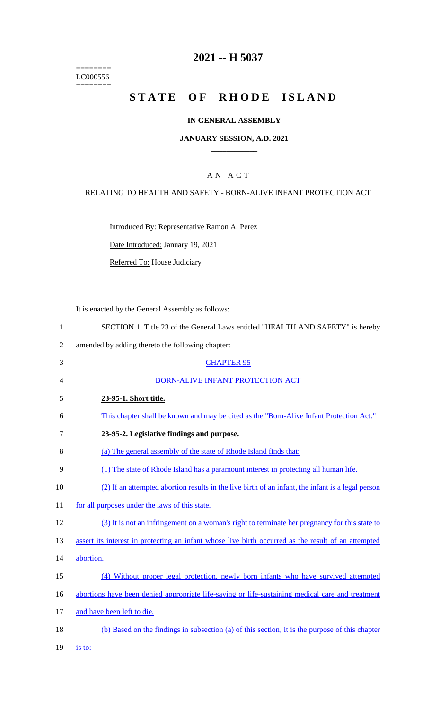======== LC000556  $=$ 

# **2021 -- H 5037**

# **STATE OF RHODE ISLAND**

### **IN GENERAL ASSEMBLY**

#### **JANUARY SESSION, A.D. 2021 \_\_\_\_\_\_\_\_\_\_\_\_**

### A N A C T

### RELATING TO HEALTH AND SAFETY - BORN-ALIVE INFANT PROTECTION ACT

Introduced By: Representative Ramon A. Perez

Date Introduced: January 19, 2021

Referred To: House Judiciary

It is enacted by the General Assembly as follows:

| SECTION 1. Title 23 of the General Laws entitled "HEALTH AND SAFETY" is hereby |  |
|--------------------------------------------------------------------------------|--|
|--------------------------------------------------------------------------------|--|

2 amended by adding thereto the following chapter:

| 3  | <b>CHAPTER 95</b>                                                                                   |
|----|-----------------------------------------------------------------------------------------------------|
| 4  | <b>BORN-ALIVE INFANT PROTECTION ACT</b>                                                             |
| 5  | 23-95-1. Short title.                                                                               |
| 6  | This chapter shall be known and may be cited as the "Born-Alive Infant Protection Act."             |
| 7  | 23-95-2. Legislative findings and purpose.                                                          |
| 8  | (a) The general assembly of the state of Rhode Island finds that:                                   |
| 9  | (1) The state of Rhode Island has a paramount interest in protecting all human life.                |
| 10 | (2) If an attempted abortion results in the live birth of an infant, the infant is a legal person   |
| 11 | for all purposes under the laws of this state.                                                      |
| 12 | (3) It is not an infringement on a woman's right to terminate her pregnancy for this state to       |
| 13 | assert its interest in protecting an infant whose live birth occurred as the result of an attempted |
| 14 | abortion.                                                                                           |
| 15 | (4) Without proper legal protection, newly born infants who have survived attempted                 |
| 16 | abortions have been denied appropriate life-saving or life-sustaining medical care and treatment    |
| 17 | and have been left to die.                                                                          |
| 18 | (b) Based on the findings in subsection (a) of this section, it is the purpose of this chapter      |
|    |                                                                                                     |

19 <u>is to:</u>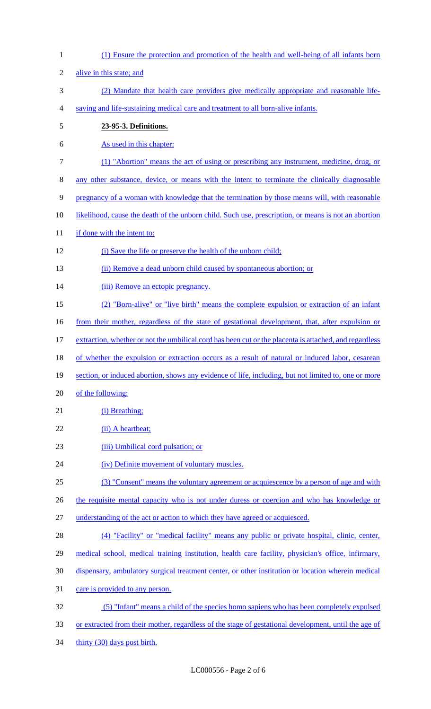| $\mathbf{1}$   | (1) Ensure the protection and promotion of the health and well-being of all infants born               |
|----------------|--------------------------------------------------------------------------------------------------------|
| $\overline{2}$ | alive in this state; and                                                                               |
| 3              | (2) Mandate that health care providers give medically appropriate and reasonable life-                 |
| 4              | saving and life-sustaining medical care and treatment to all born-alive infants.                       |
| $\mathfrak s$  | 23-95-3. Definitions.                                                                                  |
| 6              | As used in this chapter:                                                                               |
| $\overline{7}$ | (1) "Abortion" means the act of using or prescribing any instrument, medicine, drug, or                |
| 8              | any other substance, device, or means with the intent to terminate the clinically diagnosable          |
| 9              | pregnancy of a woman with knowledge that the termination by those means will, with reasonable          |
| 10             | likelihood, cause the death of the unborn child. Such use, prescription, or means is not an abortion   |
| 11             | if done with the intent to:                                                                            |
| 12             | (i) Save the life or preserve the health of the unborn child;                                          |
| 13             | (ii) Remove a dead unborn child caused by spontaneous abortion; or                                     |
| 14             | (iii) Remove an ectopic pregnancy.                                                                     |
| 15             | (2) "Born-alive" or "live birth" means the complete expulsion or extraction of an infant               |
| 16             | from their mother, regardless of the state of gestational development, that, after expulsion or        |
| 17             | extraction, whether or not the umbilical cord has been cut or the placenta is attached, and regardless |
| 18             | of whether the expulsion or extraction occurs as a result of natural or induced labor, cesarean        |
| 19             | section, or induced abortion, shows any evidence of life, including, but not limited to, one or more   |
| 20             | of the following:                                                                                      |
| 21             | (i) Breathing;                                                                                         |
| 22             | (ii) A heartbeat;                                                                                      |
| 23             | (iii) Umbilical cord pulsation; or                                                                     |
| 24             | (iv) Definite movement of voluntary muscles.                                                           |
| 25             | (3) "Consent" means the voluntary agreement or acquiescence by a person of age and with                |
| 26             | the requisite mental capacity who is not under duress or coercion and who has knowledge or             |
| 27             | understanding of the act or action to which they have agreed or acquiesced.                            |
| 28             | (4) "Facility" or "medical facility" means any public or private hospital, clinic, center,             |
| 29             | medical school, medical training institution, health care facility, physician's office, infirmary,     |
| 30             | dispensary, ambulatory surgical treatment center, or other institution or location wherein medical     |
| 31             | care is provided to any person.                                                                        |
| 32             | (5) "Infant" means a child of the species homo sapiens who has been completely expulsed                |
| 33             | or extracted from their mother, regardless of the stage of gestational development, until the age of   |
| 34             | thirty (30) days post birth.                                                                           |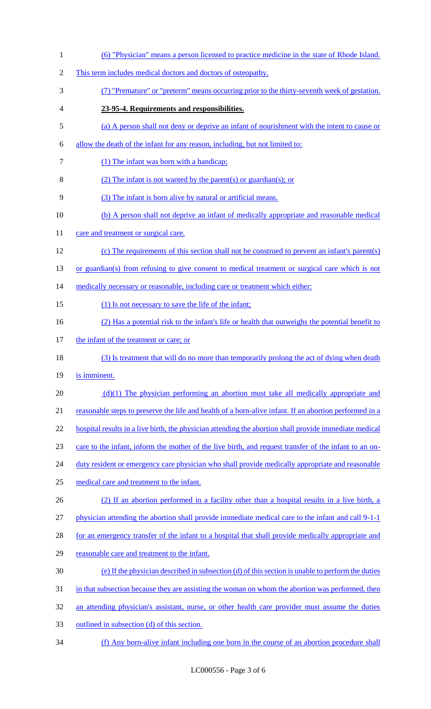| $\mathbf{1}$   | (6) "Physician" means a person licensed to practice medicine in the state of Rhode Island.             |
|----------------|--------------------------------------------------------------------------------------------------------|
| $\overline{2}$ | This term includes medical doctors and doctors of osteopathy.                                          |
| 3              | (7) "Premature" or "preterm" means occurring prior to the thirty-seventh week of gestation.            |
| 4              | 23-95-4. Requirements and responsibilities.                                                            |
| 5              | (a) A person shall not deny or deprive an infant of nourishment with the intent to cause or            |
| 6              | allow the death of the infant for any reason, including, but not limited to:                           |
| 7              | (1) The infant was born with a handicap;                                                               |
| 8              | $(2)$ The infant is not wanted by the parent(s) or guardian(s); or                                     |
| 9              | (3) The infant is born alive by natural or artificial means.                                           |
| 10             | (b) A person shall not deprive an infant of medically appropriate and reasonable medical               |
| 11             | care and treatment or surgical care.                                                                   |
| 12             | (c) The requirements of this section shall not be construed to prevent an infant's parent(s)           |
| 13             | or guardian(s) from refusing to give consent to medical treatment or surgical care which is not        |
| 14             | medically necessary or reasonable, including care or treatment which either:                           |
| 15             | (1) Is not necessary to save the life of the infant;                                                   |
| 16             | (2) Has a potential risk to the infant's life or health that outweighs the potential benefit to        |
| 17             | the infant of the treatment or care; or                                                                |
| 18             | (3) Is treatment that will do no more than temporarily prolong the act of dying when death             |
| 19             | is imminent.                                                                                           |
| 20             | $(d)(1)$ The physician performing an abortion must take all medically appropriate and                  |
| 21             | reasonable steps to preserve the life and health of a born-alive infant. If an abortion performed in a |
| 22             | hospital results in a live birth, the physician attending the abortion shall provide immediate medical |
| 23             | care to the infant, inform the mother of the live birth, and request transfer of the infant to an on-  |
| 24             | duty resident or emergency care physician who shall provide medically appropriate and reasonable       |
| 25             | medical care and treatment to the infant.                                                              |
| 26             | (2) If an abortion performed in a facility other than a hospital results in a live birth, a            |
| 27             | physician attending the abortion shall provide immediate medical care to the infant and call 9-1-1     |
| 28             | for an emergency transfer of the infant to a hospital that shall provide medically appropriate and     |
| 29             | reasonable care and treatment to the infant.                                                           |
| 30             | (e) If the physician described in subsection (d) of this section is unable to perform the duties       |
| 31             | in that subsection because they are assisting the woman on whom the abortion was performed, then       |
| 32             | an attending physician's assistant, nurse, or other health care provider must assume the duties        |
| 33             | outlined in subsection (d) of this section.                                                            |
| 34             | (f) Any born-alive infant including one born in the course of an abortion procedure shall              |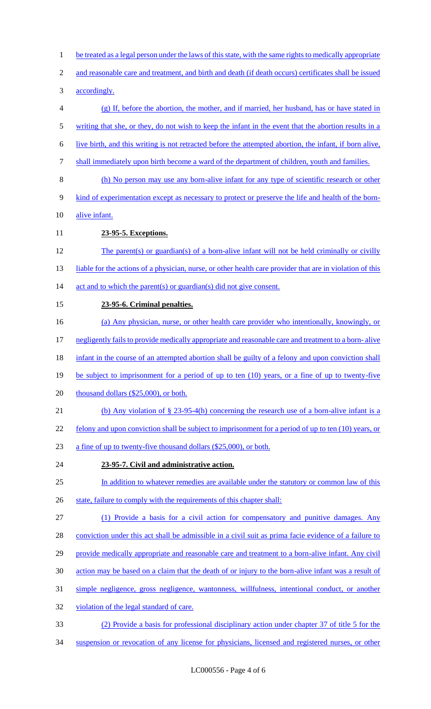- 1 be treated as a legal person under the laws of this state, with the same rights to medically appropriate
- and reasonable care and treatment, and birth and death (if death occurs) certificates shall be issued
- accordingly.
- (g) If, before the abortion, the mother, and if married, her husband, has or have stated in
- 5 writing that she, or they, do not wish to keep the infant in the event that the abortion results in a
- live birth, and this writing is not retracted before the attempted abortion, the infant, if born alive,
- shall immediately upon birth become a ward of the department of children, youth and families.
- (h) No person may use any born-alive infant for any type of scientific research or other
- kind of experimentation except as necessary to protect or preserve the life and health of the born-
- alive infant.
- **23-95-5. Exceptions.**
- The parent(s) or guardian(s) of a born-alive infant will not be held criminally or civilly 13 liable for the actions of a physician, nurse, or other health care provider that are in violation of this 14 act and to which the parent(s) or guardian(s) did not give consent.
- **23-95-6. Criminal penalties.**
- (a) Any physician, nurse, or other health care provider who intentionally, knowingly, or
- negligently fails to provide medically appropriate and reasonable care and treatment to a born- alive
- 18 infant in the course of an attempted abortion shall be guilty of a felony and upon conviction shall
- 19 be subject to imprisonment for a period of up to ten (10) years, or a fine of up to twenty-five
- 20 thousand dollars (\$25,000), or both.
- (b) Any violation of § 23-95-4(h) concerning the research use of a born-alive infant is a
- 22 felony and upon conviction shall be subject to imprisonment for a period of up to ten (10) years, or
- a fine of up to twenty-five thousand dollars (\$25,000), or both.
- **23-95-7. Civil and administrative action.**
- 25 In addition to whatever remedies are available under the statutory or common law of this
- 26 state, failure to comply with the requirements of this chapter shall:
- (1) Provide a basis for a civil action for compensatory and punitive damages. Any
- conviction under this act shall be admissible in a civil suit as prima facie evidence of a failure to
- 29 provide medically appropriate and reasonable care and treatment to a born-alive infant. Any civil
- action may be based on a claim that the death of or injury to the born-alive infant was a result of
- simple negligence, gross negligence, wantonness, willfulness, intentional conduct, or another
- violation of the legal standard of care.
- (2) Provide a basis for professional disciplinary action under chapter 37 of title 5 for the
- suspension or revocation of any license for physicians, licensed and registered nurses, or other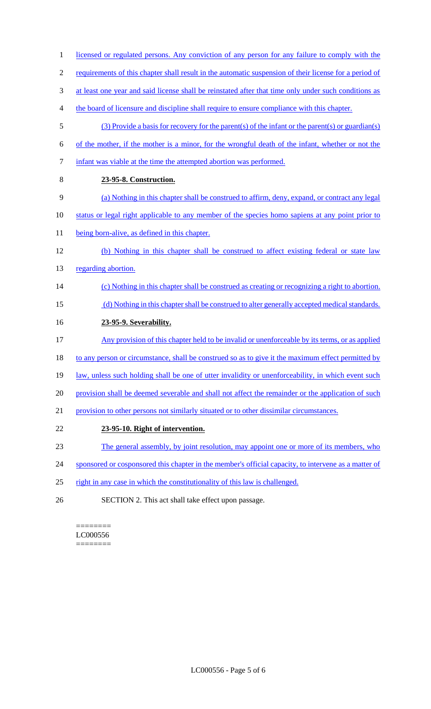- 1 licensed or regulated persons. Any conviction of any person for any failure to comply with the 2 requirements of this chapter shall result in the automatic suspension of their license for a period of 3 at least one year and said license shall be reinstated after that time only under such conditions as 4 the board of licensure and discipline shall require to ensure compliance with this chapter. 5 (3) Provide a basis for recovery for the parent(s) of the infant or the parent(s) or guardian(s) 6 of the mother, if the mother is a minor, for the wrongful death of the infant, whether or not the 7 infant was viable at the time the attempted abortion was performed. 8 **23-95-8. Construction.**  9 (a) Nothing in this chapter shall be construed to affirm, deny, expand, or contract any legal 10 status or legal right applicable to any member of the species homo sapiens at any point prior to 11 being born-alive, as defined in this chapter. 12 (b) Nothing in this chapter shall be construed to affect existing federal or state law 13 regarding abortion. 14 (c) Nothing in this chapter shall be construed as creating or recognizing a right to abortion. 15 (d) Nothing in this chapter shall be construed to alter generally accepted medical standards. 16 **23-95-9. Severability.**  17 Any provision of this chapter held to be invalid or unenforceable by its terms, or as applied 18 to any person or circumstance, shall be construed so as to give it the maximum effect permitted by 19 law, unless such holding shall be one of utter invalidity or unenforceability, in which event such 20 provision shall be deemed severable and shall not affect the remainder or the application of such 21 provision to other persons not similarly situated or to other dissimilar circumstances. 22 **23-95-10. Right of intervention.**  23 The general assembly, by joint resolution, may appoint one or more of its members, who 24 sponsored or cosponsored this chapter in the member's official capacity, to intervene as a matter of
- 25 right in any case in which the constitutionality of this law is challenged.
- 26 SECTION 2. This act shall take effect upon passage.

======== LC000556 ========